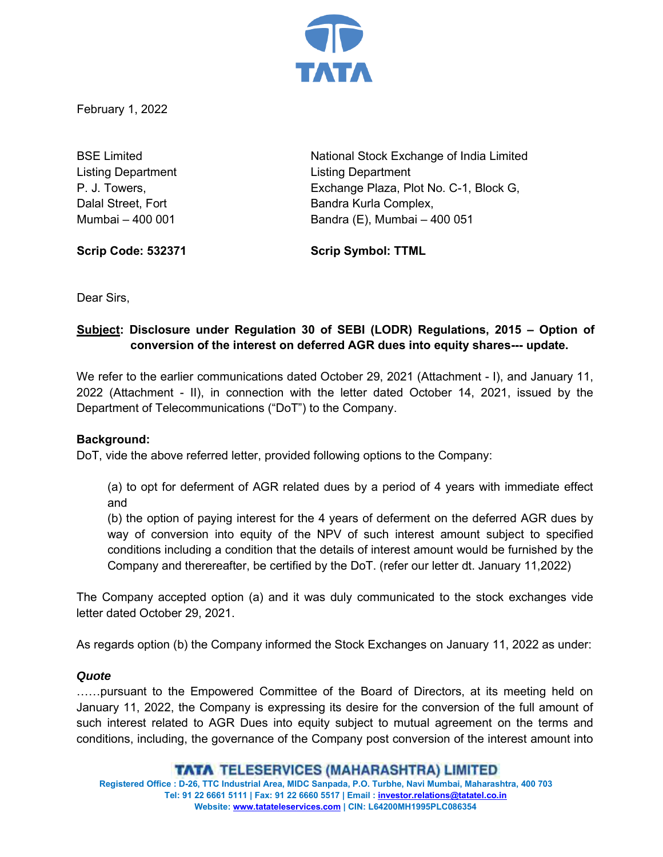

February 1, 2022

Listing Department Listing Department

BSE Limited **National Stock Exchange of India Limited** P. J. Towers, Exchange Plaza, Plot No. C-1, Block G, Dalal Street, Fort **Bandra Kurla Complex,** Mumbai – 400 001 Bandra (E), Mumbai – 400 051

**Scrip Code: 532371 Scrip Symbol: TTML**

Dear Sirs,

# **Subject: Disclosure under Regulation 30 of SEBI (LODR) Regulations, 2015 – Option of conversion of the interest on deferred AGR dues into equity shares--- update.**

We refer to the earlier communications dated October 29, 2021 (Attachment - I), and January 11, 2022 (Attachment - II), in connection with the letter dated October 14, 2021, issued by the Department of Telecommunications ("DoT") to the Company.

## **Background:**

DoT, vide the above referred letter, provided following options to the Company:

(a) to opt for deferment of AGR related dues by a period of 4 years with immediate effect and

(b) the option of paying interest for the 4 years of deferment on the deferred AGR dues by way of conversion into equity of the NPV of such interest amount subject to specified conditions including a condition that the details of interest amount would be furnished by the Company and therereafter, be certified by the DoT. (refer our letter dt. January 11,2022)

The Company accepted option (a) and it was duly communicated to the stock exchanges vide letter dated October 29, 2021.

As regards option (b) the Company informed the Stock Exchanges on January 11, 2022 as under:

#### *Quote*

……pursuant to the Empowered Committee of the Board of Directors, at its meeting held on January 11, 2022, the Company is expressing its desire for the conversion of the full amount of such interest related to AGR Dues into equity subject to mutual agreement on the terms and conditions, including, the governance of the Company post conversion of the interest amount into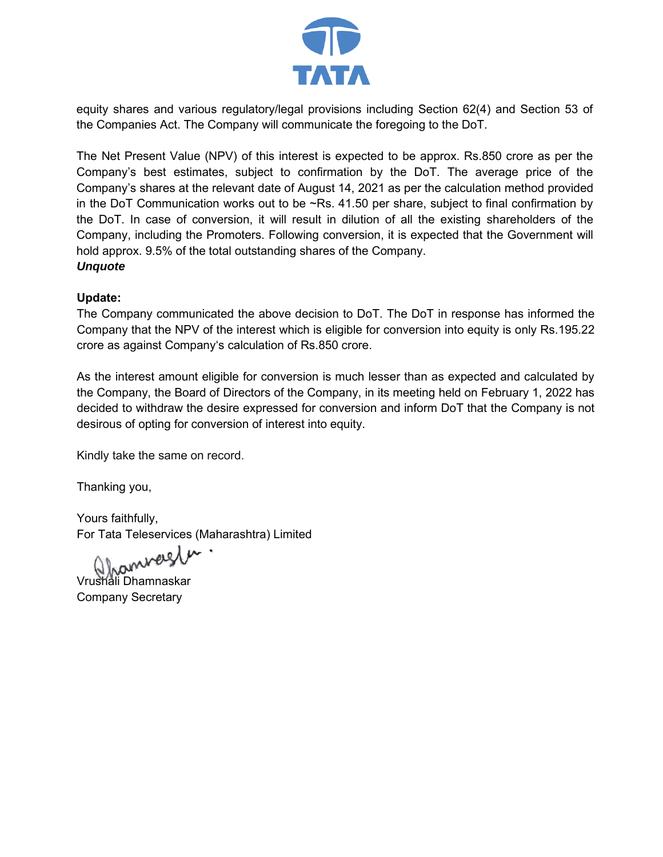

equity shares and various regulatory/legal provisions including Section 62(4) and Section 53 of the Companies Act. The Company will communicate the foregoing to the DoT.

The Net Present Value (NPV) of this interest is expected to be approx. Rs.850 crore as per the Company's best estimates, subject to confirmation by the DoT. The average price of the Company's shares at the relevant date of August 14, 2021 as per the calculation method provided in the DoT Communication works out to be  $\sim$ Rs. 41.50 per share, subject to final confirmation by the DoT. In case of conversion, it will result in dilution of all the existing shareholders of the Company, including the Promoters. Following conversion, it is expected that the Government will hold approx. 9.5% of the total outstanding shares of the Company. *Unquote* 

# **Update:**

The Company communicated the above decision to DoT. The DoT in response has informed the Company that the NPV of the interest which is eligible for conversion into equity is only Rs.195.22 crore as against Company's calculation of Rs.850 crore.

As the interest amount eligible for conversion is much lesser than as expected and calculated by the Company, the Board of Directors of the Company, in its meeting held on February 1, 2022 has decided to withdraw the desire expressed for conversion and inform DoT that the Company is not desirous of opting for conversion of interest into equity.

Kindly take the same on record.

Thanking you,

Yours faithfully, For Tata Teleservices (Maharashtra) Limited

rammere

Vrushali Dhamnaskar Company Secretary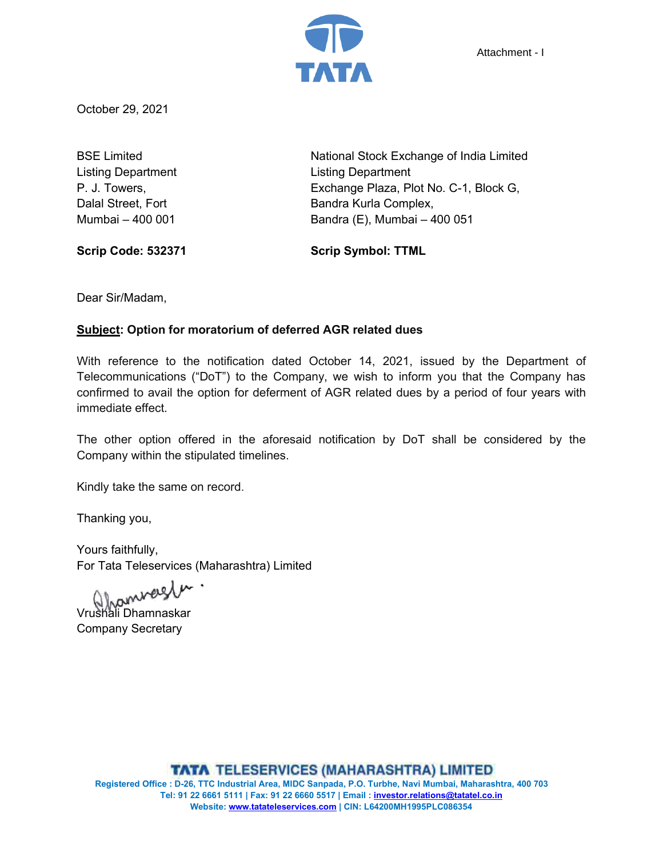

October 29, 2021

Listing Department Listing Department

BSE Limited **National Stock Exchange of India Limited** P. J. Towers, Exchange Plaza, Plot No. C-1, Block G, Dalal Street, Fort **Bandra Kurla Complex,** Mumbai – 400 001 Bandra (E), Mumbai – 400 051

**Scrip Code: 532371 Scrip Symbol: TTML**

Dear Sir/Madam,

## **Subject: Option for moratorium of deferred AGR related dues**

With reference to the notification dated October 14, 2021, issued by the Department of Telecommunications ("DoT") to the Company, we wish to inform you that the Company has confirmed to avail the option for deferment of AGR related dues by a period of four years with immediate effect.

The other option offered in the aforesaid notification by DoT shall be considered by the Company within the stipulated timelines.

Kindly take the same on record.

Thanking you,

Yours faithfully, For Tata Teleservices (Maharashtra) Limited

Vrushali Dhamnaskar

Company Secretary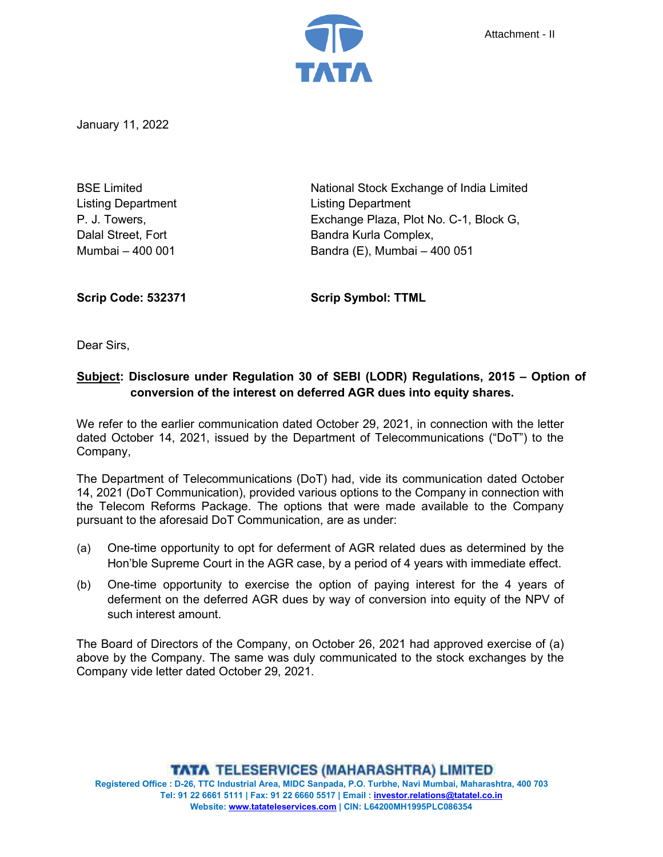

January 11, 2022

Listing Department Listing Department

BSE Limited **National Stock Exchange of India Limited** P. J. Towers, Exchange Plaza, Plot No. C-1, Block G, Dalal Street, Fort **Bandra Kurla Complex,** Mumbai – 400 001 Bandra (E), Mumbai – 400 051

**Scrip Code: 532371 Scrip Symbol: TTML**

Dear Sirs,

## **Subject: Disclosure under Regulation 30 of SEBI (LODR) Regulations, 2015 – Option of conversion of the interest on deferred AGR dues into equity shares.**

We refer to the earlier communication dated October 29, 2021, in connection with the letter dated October 14, 2021, issued by the Department of Telecommunications ("DoT") to the Company,

The Department of Telecommunications (DoT) had, vide its communication dated October 14, 2021 (DoT Communication), provided various options to the Company in connection with the Telecom Reforms Package. The options that were made available to the Company pursuant to the aforesaid DoT Communication, are as under:

- (a) One-time opportunity to opt for deferment of AGR related dues as determined by the Hon'ble Supreme Court in the AGR case, by a period of 4 years with immediate effect.
- (b) One-time opportunity to exercise the option of paying interest for the 4 years of deferment on the deferred AGR dues by way of conversion into equity of the NPV of such interest amount.

The Board of Directors of the Company, on October 26, 2021 had approved exercise of (a) above by the Company. The same was duly communicated to the stock exchanges by the Company vide letter dated October 29, 2021.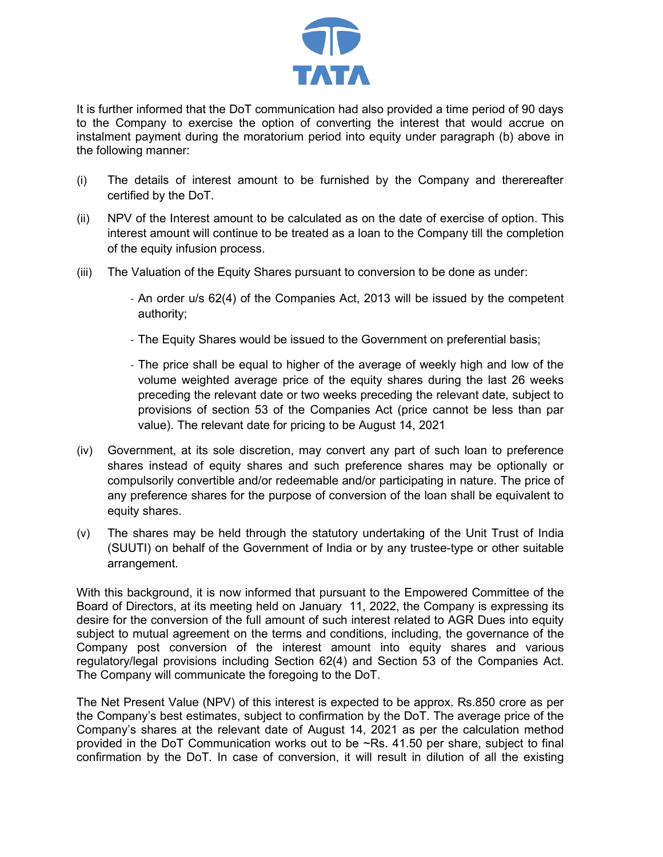

It is further informed that the DoT communication had also provided a time period of 90 days to the Company to exercise the option of converting the interest that would accrue on instalment payment during the moratorium period into equity under paragraph (b) above in the following manner:

- (i) The details of interest amount to be furnished by the Company and therereafter certified by the DoT.
- (ii) NPV of the Interest amount to be calculated as on the date of exercise of option. This interest amount will continue to be treated as a loan to the Company till the completion of the equity infusion process.
- (iii) The Valuation of the Equity Shares pursuant to conversion to be done as under:
	- An order u/s 62(4) of the Companies Act, 2013 will be issued by the competent authority;
	- The Equity Shares would be issued to the Government on preferential basis;
	- The price shall be equal to higher of the average of weekly high and low of the volume weighted average price of the equity shares during the last 26 weeks preceding the relevant date or two weeks preceding the relevant date, subject to provisions of section 53 of the Companies Act (price cannot be less than par value). The relevant date for pricing to be August 14, 2021
- (iv) Government, at its sole discretion, may convert any part of such loan to preference shares instead of equity shares and such preference shares may be optionally or compulsorily convertible and/or redeemable and/or participating in nature. The price of any preference shares for the purpose of conversion of the loan shall be equivalent to equity shares.
- (v) The shares may be held through the statutory undertaking of the Unit Trust of India (SUUTI) on behalf of the Government of India or by any trustee-type or other suitable arrangement.

With this background, it is now informed that pursuant to the Empowered Committee of the Board of Directors, at its meeting held on January 11, 2022, the Company is expressing its desire for the conversion of the full amount of such interest related to AGR Dues into equity subject to mutual agreement on the terms and conditions, including, the governance of the Company post conversion of the interest amount into equity shares and various regulatory/legal provisions including Section 62(4) and Section 53 of the Companies Act. The Company will communicate the foregoing to the DoT.

The Net Present Value (NPV) of this interest is expected to be approx. Rs.850 crore as per the Company's best estimates, subject to confirmation by the DoT. The average price of the Company's shares at the relevant date of August 14, 2021 as per the calculation method provided in the DoT Communication works out to be ~Rs. 41.50 per share, subject to final confirmation by the DoT. In case of conversion, it will result in dilution of all the existing